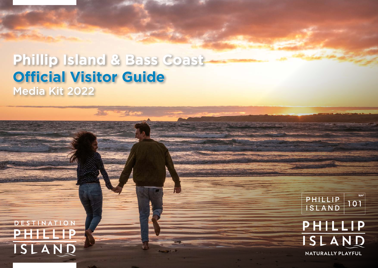# **Phillip Island & Bass Coast Official Visitor Guide** Media Kit 2022

DESTINATION PHILIP ISLAND

PHILLIP<br>ISLAND  $101$ PHILLIP ISLAND

NATURALLY PLAYFUL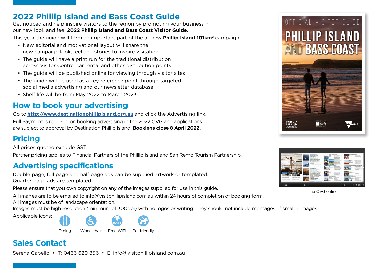## **2022 Phillip Island and Bass Coast Guide**

Get noticed and help inspire visitors to the region by promoting your business in our new look and feel **2022 Phillip Island and Bass Coast Visitor Guide**.

This year the guide will form an important part of the all new **Phillip Island 101km2** campaign.

- New editorial and motivational layout will share the new campaign look, feel and stories to inspire visitation
- The guide will have a print run for the traditional distribution across Visitor Centre, car rental and other distribution points
- The guide will be published online for viewing through visitor sites
- The guide will be used as a key reference point through targeted social media advertising and our newsletter database
- Shelf life will be from May 2022 to March 2023.

## **How to book your advertising**

Go to **http://www.destinationphillipisland.org.au** and click the Advertising link.

Full Payment is required on booking advertising in the 2022 OVG and applications are subject to approval by Destination Phillip Island. **Bookings close 8 April 2022.**

## **Pricing**

All prices quoted exclude GST.

Partner pricing applies to Financial Partners of the Phillip Island and San Remo Tourism Partnership.

## **Advertising specifications**

Double page, full page and half page ads can be supplied artwork or templated. Quarter page ads are templated.

Please ensure that you own copyright on any of the images supplied for use in this guide.

All images are to be emailed to info@visitphillipisland.com.au within 24 hours of completion of booking form.

All images must be of landscape orientation.

Images must be high resolution (minimum of 300dpi) with no logos or writing. They should not include montages of smaller images.



Dining Wheelchair Free WiFi Pet friendly

## **Sales Contact**

Serena Cabello • T: 0466 620 856 • E: info@visitphillipisland.com.au





The OVG online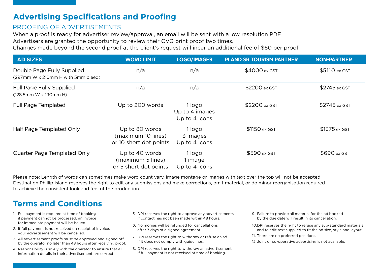# **Advertising Specifications and Proofing**

## PROOFING OF ADVERTISEMENTS

When a proof is ready for advertiser review/approval, an email will be sent with a low resolution PDF. Advertisers are granted the opportunity to review their OVG print proof two times.

Changes made beyond the second proof at the client's request will incur an additional fee of \$60 per proof.

| <b>AD SIZES</b>                                                  | <b>WORD LIMIT</b>                                              | <b>LOGO/IMAGES</b>                        | <b>PI AND SR TOURISM PARTNER</b> | <b>NON-PARTNER</b> |
|------------------------------------------------------------------|----------------------------------------------------------------|-------------------------------------------|----------------------------------|--------------------|
| Double Page Fully Supplied<br>(297mm W x 210mm H with 5mm bleed) | n/a                                                            | n/a                                       | \$4000 ex GST                    | \$5110 ex GST      |
| Full Page Fully Supplied<br>$(128.5$ mm W x 190mm H)             | n/a                                                            | n/a                                       | \$2200 ex GST                    | \$2745 ex GST      |
| <b>Full Page Templated</b>                                       | Up to 200 words                                                | 1 logo<br>Up to 4 images<br>Up to 4 icons | \$2200 ex GST                    | \$2745 ex GST      |
| Half Page Templated Only                                         | Up to 80 words<br>(maximum 10 lines)<br>or 10 short dot points | 1 logo<br>3 images<br>Up to 4 icons       | \$1150 ex GST                    | \$1375 ex GST      |
| Quarter Page Templated Only                                      | Up to 40 words<br>(maximum 5 lines)<br>or 5 short dot points   | 1 logo<br>1 image<br>Up to 4 icons        | \$590 ex GST                     | \$690 ex GST       |

Please note: Length of words can sometimes make word count vary. Image montage or images with text over the top will not be accepted. Destination Phillip Island reserves the right to edit any submissions and make corrections, omit material, or do minor reorganisation required to achieve the consistent look and feel of the production.

## **Terms and Conditions**

- 1. Full payment is required at time of booking if payment cannot be processed, an invoice for immediate payment will be issued.
- 2. If full payment is not received on receipt of invoice, your advertisement will be cancelled.
- 3. All advertisement proofs must be approved and signed off by the operator no later than 48 hours after receiving proof.
- 4. Responsibility is solely with the operator to ensure that all information details in their advertisement are correct.
- 5 DPI reserves the right to approve any advertisements if contact has not been made within 48 hours.
- 6. No monies will be refunded for cancellations after 7 days of a signed agreement.
- 7. DPI reserves the right to withdraw or refuse an ad if it does not comply with guidelines.
- 8. DPI reserves the right to withdraw an advertisement if full payment is not received at time of booking.
- 9. Failure to provide all material for the ad booked by the due date will result in its cancellation.
- 10. DPI reserves the right to refuse any sub-standard materials and to edit text supplied to fit the ad size, style and layout.
- 11. There are no preferred positions.
- 12. Joint or co-operative advertising is not available.